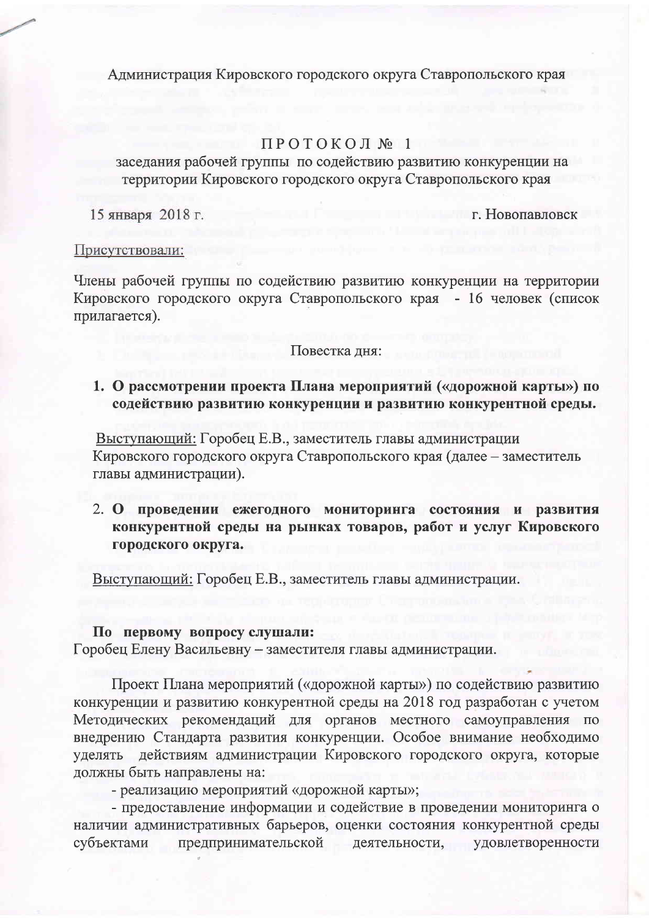Администрация Кировского городского округа Ставропольского края

# ПРОТОКОЛ № 1

заседания рабочей группы по содействию развитию конкуренции на территории Кировского городского округа Ставропольского края

15 января 2018 г.

г. Новопавловск

### Присутствовали:

Члены рабочей группы по содействию развитию конкуренции на территории Кировского городского округа Ставропольского края - 16 человек (список прилагается).

### Повестка дня:

1. О рассмотрении проекта Плана мероприятий («дорожной карты») по содействию развитию конкуренции и развитию конкурентной среды.

Выступающий: Горобец Е.В., заместитель главы администрации Кировского городского округа Ставропольского края (далее - заместитель главы администрации).

2. О проведении ежегодного мониторинга состояния и развития конкурентной среды на рынках товаров, работ и услуг Кировского городского округа.

Выступающий: Горобец Е.В., заместитель главы администрации.

### По первому вопросу слушали:

Горобец Елену Васильевну - заместителя главы администрации.

Проект Плана мероприятий («дорожной карты») по содействию развитию конкуренции и развитию конкурентной среды на 2018 год разработан с учетом Методических рекомендаций для органов местного самоуправления по внедрению Стандарта развития конкуренции. Особое внимание необходимо уделять действиям администрации Кировского городского округа, которые должны быть направлены на:

- реализацию мероприятий «дорожной карты»;

- предоставление информации и содействие в проведении мониторинга о наличии административных барьеров, оценки состояния конкурентной среды предпринимательской деятельности, удовлетворенности субъектами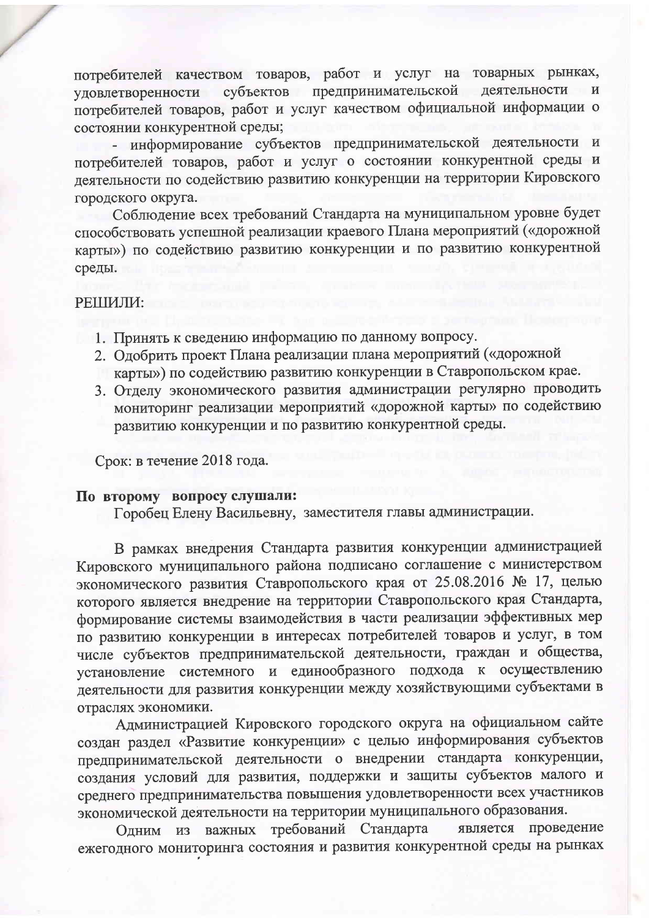потребителей качеством товаров, работ и услуг на товарных рынках, деятельности субъектов предпринимательской уловлетворенности потребителей товаров, работ и услуг качеством официальной информации о состоянии конкурентной среды;

- информирование субъектов предпринимательской деятельности и потребителей товаров, работ и услуг о состоянии конкурентной среды и деятельности по содействию развитию конкуренции на территории Кировского городского округа.

Соблюдение всех требований Стандарта на муниципальном уровне будет способствовать успешной реализации краевого Плана мероприятий («дорожной карты») по содействию развитию конкуренции и по развитию конкурентной среды.

### РЕШИЛИ:

- 1. Принять к сведению информацию по данному вопросу.
- 2. Одобрить проект Плана реализации плана мероприятий («дорожной карты») по содействию развитию конкуренции в Ставропольском крае.
- 3. Отделу экономического развития администрации регулярно проводить мониторинг реализации мероприятий «дорожной карты» по содействию развитию конкуренции и по развитию конкурентной среды.

Срок: в течение 2018 года.

## По второму вопросу слушали:

Горобец Елену Васильевну, заместителя главы администрации.

В рамках внедрения Стандарта развития конкуренции администрацией Кировского муниципального района подписано соглашение с министерством экономического развития Ставропольского края от 25.08.2016 № 17, целью которого является внедрение на территории Ставропольского края Стандарта, формирование системы взаимодействия в части реализации эффективных мер по развитию конкуренции в интересах потребителей товаров и услуг, в том числе субъектов предпринимательской деятельности, граждан и общества, установление системного и единообразного подхода к осуществлению деятельности для развития конкуренции между хозяйствующими субъектами в отраслях экономики.

Администрацией Кировского городского округа на официальном сайте создан раздел «Развитие конкуренции» с целью информирования субъектов предпринимательской деятельности о внедрении стандарта конкуренции, создания условий для развития, поддержки и защиты субъектов малого и среднего предпринимательства повышения удовлетворенности всех участников экономической деятельности на территории муниципального образования.

важных требований Стандарта является проведение Одним из ежегодного мониторинга состояния и развития конкурентной среды на рынках